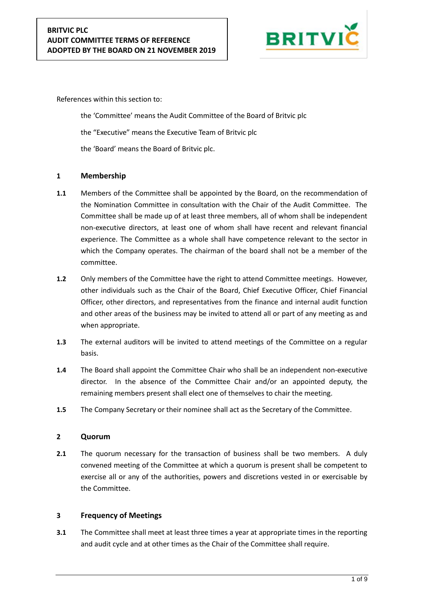

References within this section to:

the 'Committee' means the Audit Committee of the Board of Britvic plc the "Executive" means the Executive Team of Britvic plc the 'Board' means the Board of Britvic plc.

### **1 Membership**

- **1.1** Members of the Committee shall be appointed by the Board, on the recommendation of the Nomination Committee in consultation with the Chair of the Audit Committee. The Committee shall be made up of at least three members, all of whom shall be independent non-executive directors, at least one of whom shall have recent and relevant financial experience. The Committee as a whole shall have competence relevant to the sector in which the Company operates. The chairman of the board shall not be a member of the committee.
- **1.2** Only members of the Committee have the right to attend Committee meetings. However, other individuals such as the Chair of the Board, Chief Executive Officer, Chief Financial Officer, other directors, and representatives from the finance and internal audit function and other areas of the business may be invited to attend all or part of any meeting as and when appropriate.
- **1.3** The external auditors will be invited to attend meetings of the Committee on a regular basis.
- **1.4** The Board shall appoint the Committee Chair who shall be an independent non-executive director. In the absence of the Committee Chair and/or an appointed deputy, the remaining members present shall elect one of themselves to chair the meeting.
- **1.5** The Company Secretary or their nominee shall act as the Secretary of the Committee.

#### **2 Quorum**

**2.1** The quorum necessary for the transaction of business shall be two members. A duly convened meeting of the Committee at which a quorum is present shall be competent to exercise all or any of the authorities, powers and discretions vested in or exercisable by the Committee.

# **3 Frequency of Meetings**

**3.1** The Committee shall meet at least three times a year at appropriate times in the reporting and audit cycle and at other times as the Chair of the Committee shall require.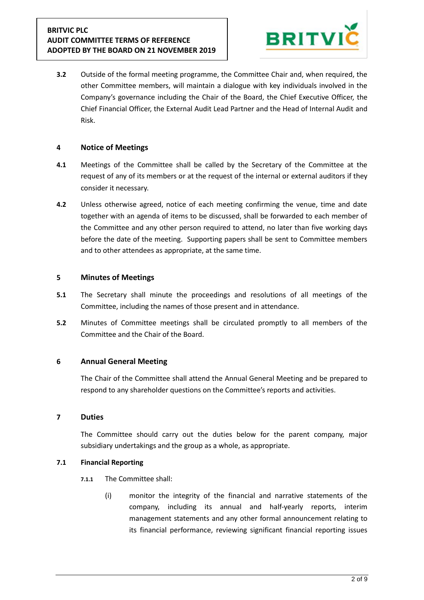

**3.2** Outside of the formal meeting programme, the Committee Chair and, when required, the other Committee members, will maintain a dialogue with key individuals involved in the Company's governance including the Chair of the Board, the Chief Executive Officer, the Chief Financial Officer, the External Audit Lead Partner and the Head of Internal Audit and Risk.

### **4 Notice of Meetings**

- **4.1** Meetings of the Committee shall be called by the Secretary of the Committee at the request of any of its members or at the request of the internal or external auditors if they consider it necessary.
- **4.2** Unless otherwise agreed, notice of each meeting confirming the venue, time and date together with an agenda of items to be discussed, shall be forwarded to each member of the Committee and any other person required to attend, no later than five working days before the date of the meeting. Supporting papers shall be sent to Committee members and to other attendees as appropriate, at the same time.

### **5 Minutes of Meetings**

- **5.1** The Secretary shall minute the proceedings and resolutions of all meetings of the Committee, including the names of those present and in attendance.
- **5.2** Minutes of Committee meetings shall be circulated promptly to all members of the Committee and the Chair of the Board.

# **6 Annual General Meeting**

The Chair of the Committee shall attend the Annual General Meeting and be prepared to respond to any shareholder questions on the Committee's reports and activities.

#### **7 Duties**

The Committee should carry out the duties below for the parent company, major subsidiary undertakings and the group as a whole, as appropriate.

#### **7.1 Financial Reporting**

- **7.1.1** The Committee shall:
	- (i) monitor the integrity of the financial and narrative statements of the company, including its annual and half-yearly reports, interim management statements and any other formal announcement relating to its financial performance, reviewing significant financial reporting issues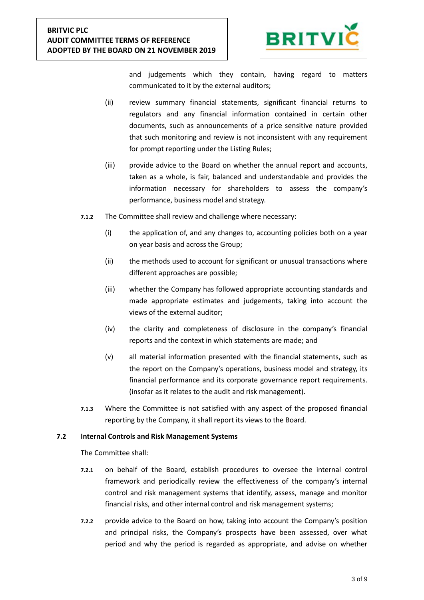

and judgements which they contain, having regard to matters communicated to it by the external auditors;

- (ii) review summary financial statements, significant financial returns to regulators and any financial information contained in certain other documents, such as announcements of a price sensitive nature provided that such monitoring and review is not inconsistent with any requirement for prompt reporting under the Listing Rules;
- (iii) provide advice to the Board on whether the annual report and accounts, taken as a whole, is fair, balanced and understandable and provides the information necessary for shareholders to assess the company's performance, business model and strategy.
- **7.1.2** The Committee shall review and challenge where necessary:
	- (i) the application of, and any changes to, accounting policies both on a year on year basis and across the Group;
	- (ii) the methods used to account for significant or unusual transactions where different approaches are possible;
	- (iii) whether the Company has followed appropriate accounting standards and made appropriate estimates and judgements, taking into account the views of the external auditor;
	- (iv) the clarity and completeness of disclosure in the company's financial reports and the context in which statements are made; and
	- (v) all material information presented with the financial statements, such as the report on the Company's operations, business model and strategy, its financial performance and its corporate governance report requirements. (insofar as it relates to the audit and risk management).
- **7.1.3** Where the Committee is not satisfied with any aspect of the proposed financial reporting by the Company, it shall report its views to the Board.

#### **7.2 Internal Controls and Risk Management Systems**

- **7.2.1** on behalf of the Board, establish procedures to oversee the internal control framework and periodically review the effectiveness of the company's internal control and risk management systems that identify, assess, manage and monitor financial risks, and other internal control and risk management systems;
- **7.2.2** provide advice to the Board on how, taking into account the Company's position and principal risks, the Company's prospects have been assessed, over what period and why the period is regarded as appropriate, and advise on whether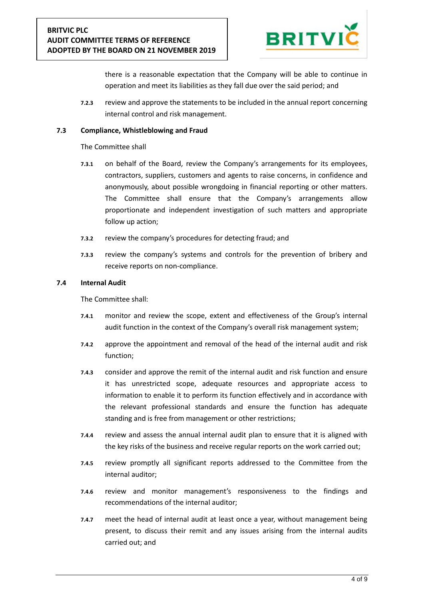

there is a reasonable expectation that the Company will be able to continue in operation and meet its liabilities as they fall due over the said period; and

**7.2.3** review and approve the statements to be included in the annual report concerning internal control and risk management.

#### **7.3 Compliance, Whistleblowing and Fraud**

The Committee shall

- **7.3.1** on behalf of the Board, review the Company's arrangements for its employees, contractors, suppliers, customers and agents to raise concerns, in confidence and anonymously, about possible wrongdoing in financial reporting or other matters. The Committee shall ensure that the Company's arrangements allow proportionate and independent investigation of such matters and appropriate follow up action;
- **7.3.2** review the company's procedures for detecting fraud; and
- **7.3.3** review the company's systems and controls for the prevention of bribery and receive reports on non-compliance.

#### **7.4 Internal Audit**

- **7.4.1** monitor and review the scope, extent and effectiveness of the Group's internal audit function in the context of the Company's overall risk management system;
- **7.4.2** approve the appointment and removal of the head of the internal audit and risk function;
- **7.4.3** consider and approve the remit of the internal audit and risk function and ensure it has unrestricted scope, adequate resources and appropriate access to information to enable it to perform its function effectively and in accordance with the relevant professional standards and ensure the function has adequate standing and is free from management or other restrictions;
- **7.4.4** review and assess the annual internal audit plan to ensure that it is aligned with the key risks of the business and receive regular reports on the work carried out;
- **7.4.5** review promptly all significant reports addressed to the Committee from the internal auditor;
- **7.4.6** review and monitor management's responsiveness to the findings and recommendations of the internal auditor;
- **7.4.7** meet the head of internal audit at least once a year, without management being present, to discuss their remit and any issues arising from the internal audits carried out; and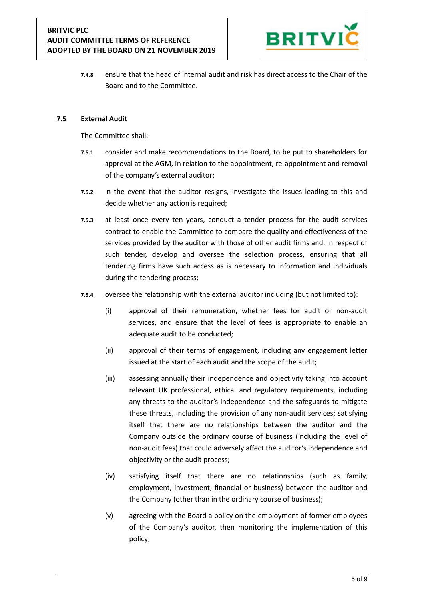

**7.4.8** ensure that the head of internal audit and risk has direct access to the Chair of the Board and to the Committee.

#### **7.5 External Audit**

- **7.5.1** consider and make recommendations to the Board, to be put to shareholders for approval at the AGM, in relation to the appointment, re-appointment and removal of the company's external auditor;
- **7.5.2** in the event that the auditor resigns, investigate the issues leading to this and decide whether any action is required;
- **7.5.3** at least once every ten years, conduct a tender process for the audit services contract to enable the Committee to compare the quality and effectiveness of the services provided by the auditor with those of other audit firms and, in respect of such tender, develop and oversee the selection process, ensuring that all tendering firms have such access as is necessary to information and individuals during the tendering process;
- **7.5.4** oversee the relationship with the external auditor including (but not limited to):
	- (i) approval of their remuneration, whether fees for audit or non-audit services, and ensure that the level of fees is appropriate to enable an adequate audit to be conducted;
	- (ii) approval of their terms of engagement, including any engagement letter issued at the start of each audit and the scope of the audit;
	- (iii) assessing annually their independence and objectivity taking into account relevant UK professional, ethical and regulatory requirements, including any threats to the auditor's independence and the safeguards to mitigate these threats, including the provision of any non-audit services; satisfying itself that there are no relationships between the auditor and the Company outside the ordinary course of business (including the level of non-audit fees) that could adversely affect the auditor's independence and objectivity or the audit process;
	- (iv) satisfying itself that there are no relationships (such as family, employment, investment, financial or business) between the auditor and the Company (other than in the ordinary course of business);
	- (v) agreeing with the Board a policy on the employment of former employees of the Company's auditor, then monitoring the implementation of this policy;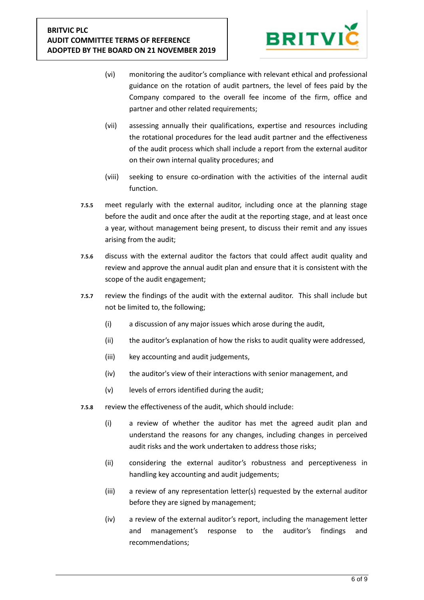

- (vi) monitoring the auditor's compliance with relevant ethical and professional guidance on the rotation of audit partners, the level of fees paid by the Company compared to the overall fee income of the firm, office and partner and other related requirements;
- (vii) assessing annually their qualifications, expertise and resources including the rotational procedures for the lead audit partner and the effectiveness of the audit process which shall include a report from the external auditor on their own internal quality procedures; and
- (viii) seeking to ensure co-ordination with the activities of the internal audit function.
- **7.5.5** meet regularly with the external auditor, including once at the planning stage before the audit and once after the audit at the reporting stage, and at least once a year, without management being present, to discuss their remit and any issues arising from the audit;
- **7.5.6** discuss with the external auditor the factors that could affect audit quality and review and approve the annual audit plan and ensure that it is consistent with the scope of the audit engagement;
- **7.5.7** review the findings of the audit with the external auditor. This shall include but not be limited to, the following;
	- (i) a discussion of any major issues which arose during the audit,
	- (ii) the auditor's explanation of how the risks to audit quality were addressed,
	- (iii) key accounting and audit judgements,
	- (iv) the auditor's view of their interactions with senior management, and
	- (v) levels of errors identified during the audit;
- **7.5.8** review the effectiveness of the audit, which should include:
	- (i) a review of whether the auditor has met the agreed audit plan and understand the reasons for any changes, including changes in perceived audit risks and the work undertaken to address those risks;
	- (ii) considering the external auditor's robustness and perceptiveness in handling key accounting and audit judgements;
	- (iii) a review of any representation letter(s) requested by the external auditor before they are signed by management;
	- (iv) a review of the external auditor's report, including the management letter and management's response to the auditor's findings and recommendations;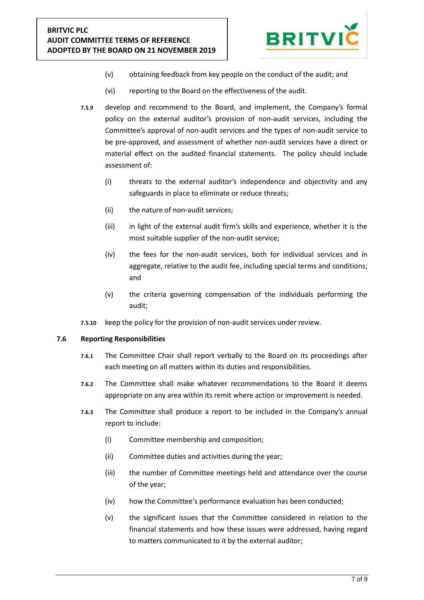

- (v) obtaining feedback from key people on the conduct of the audit; and
- (vi) reporting to the Board on the effectiveness of the audit.
- **7.5.9** develop and recommend to the Board, and implement, the Company's formal policy on the external auditor's provision of non-audit services, including the Committee's approval of non-audit services and the types of non-audit service to be pre-approved, and assessment of whether non-audit services have a direct or material effect on the audited financial statements. The policy should include assessment of:
	- (i) threats to the external auditor's independence and objectivity and any safeguards in place to eliminate or reduce threats;
	- (ii) the nature of non-audit services;
	- (iii) in light of the external audit firm's skills and experience, whether it is the most suitable supplier of the non-audit service;
	- (iv) the fees for the non-audit services, both for individual services and in aggregate, relative to the audit fee, including special terms and conditions; and
	- (v) the criteria governing compensation of the individuals performing the audit;
- **7.5.10** keep the policy for the provision of non-audit services under review.

#### **7.6 Reporting Responsibilities**

- **7.6.1** The Committee Chair shall report verbally to the Board on its proceedings after each meeting on all matters within its duties and responsibilities.
- **7.6.2** The Committee shall make whatever recommendations to the Board it deems appropriate on any area within its remit where action or improvement is needed.
- **7.6.3** The Committee shall produce a report to be included in the Company's annual report to include:
	- (i) Committee membership and composition;
	- (ii) Committee duties and activities during the year;
	- (iii) the number of Committee meetings held and attendance over the course of the year;
	- (iv) how the Committee's performance evaluation has been conducted;
	- (v) the significant issues that the Committee considered in relation to the financial statements and how these issues were addressed, having regard to matters communicated to it by the external auditor;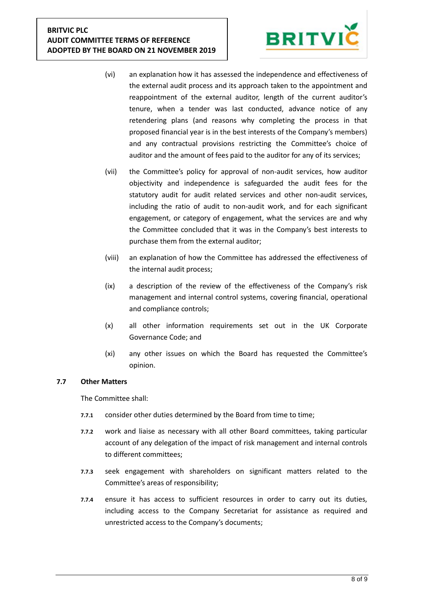# **BRITVIC PLC AUDIT COMMITTEE TERMS OF REFERENCE ADOPTED BY THE BOARD ON 21 NOVEMBER 2019**



- (vi) an explanation how it has assessed the independence and effectiveness of the external audit process and its approach taken to the appointment and reappointment of the external auditor, length of the current auditor's tenure, when a tender was last conducted, advance notice of any retendering plans (and reasons why completing the process in that proposed financial year is in the best interests of the Company's members) and any contractual provisions restricting the Committee's choice of auditor and the amount of fees paid to the auditor for any of its services;
- (vii) the Committee's policy for approval of non-audit services, how auditor objectivity and independence is safeguarded the audit fees for the statutory audit for audit related services and other non-audit services, including the ratio of audit to non-audit work, and for each significant engagement, or category of engagement, what the services are and why the Committee concluded that it was in the Company's best interests to purchase them from the external auditor;
- (viii) an explanation of how the Committee has addressed the effectiveness of the internal audit process;
- (ix) a description of the review of the effectiveness of the Company's risk management and internal control systems, covering financial, operational and compliance controls;
- (x) all other information requirements set out in the UK Corporate Governance Code; and
- (xi) any other issues on which the Board has requested the Committee's opinion.

# **7.7 Other Matters**

- **7.7.1** consider other duties determined by the Board from time to time;
- **7.7.2** work and liaise as necessary with all other Board committees, taking particular account of any delegation of the impact of risk management and internal controls to different committees;
- **7.7.3** seek engagement with shareholders on significant matters related to the Committee's areas of responsibility;
- **7.7.4** ensure it has access to sufficient resources in order to carry out its duties, including access to the Company Secretariat for assistance as required and unrestricted access to the Company's documents;